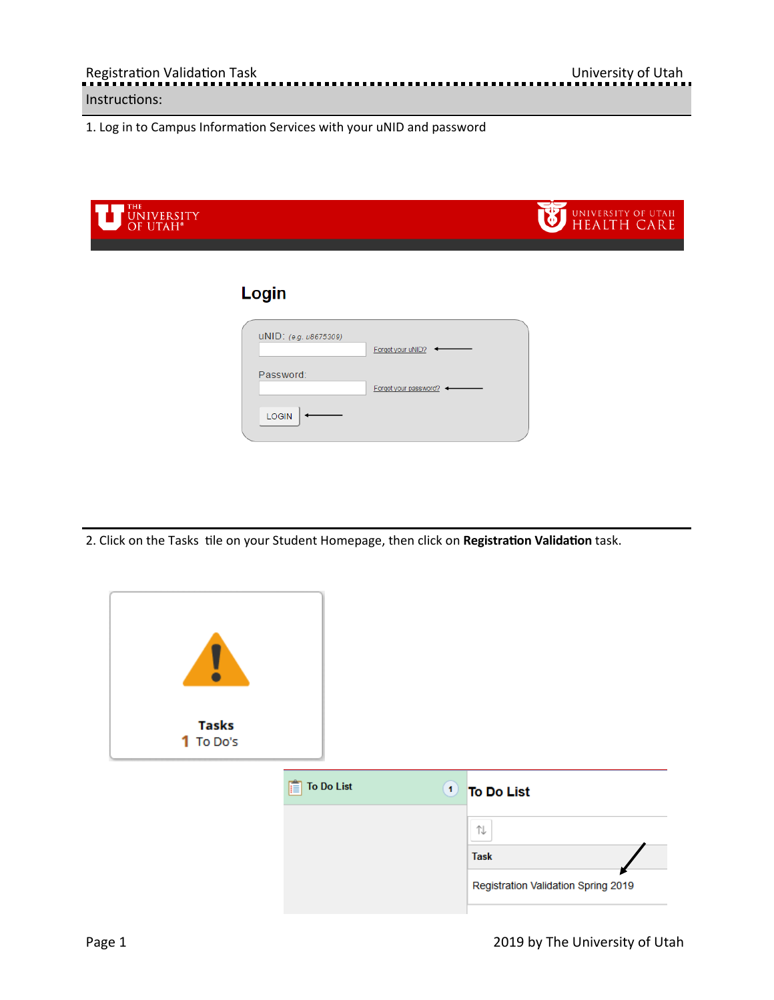1. Log in to Campus Information Services with your uNID and password

| THE<br>UNIVERSITY<br>OF UTAH <sup>*</sup> |                                                      | UNIVERSITY OF UTAH |
|-------------------------------------------|------------------------------------------------------|--------------------|
|                                           | Login                                                |                    |
|                                           | UNID: (e.g. u8675309)<br>Forgot your uNID?           |                    |
|                                           | Password:<br>Forgot your password? <<br><b>LOGIN</b> |                    |

2. Click on the Tasks tile on your Student Homepage, then click on Registration Validation task.

| <b>Tasks</b><br>1 To Do's |                 |                                     |
|---------------------------|-----------------|-------------------------------------|
|                           | To Do List<br>肩 | <b>1</b> To Do List                 |
|                           |                 | ⇅                                   |
|                           |                 | <b>Task</b>                         |
|                           |                 | Registration Validation Spring 2019 |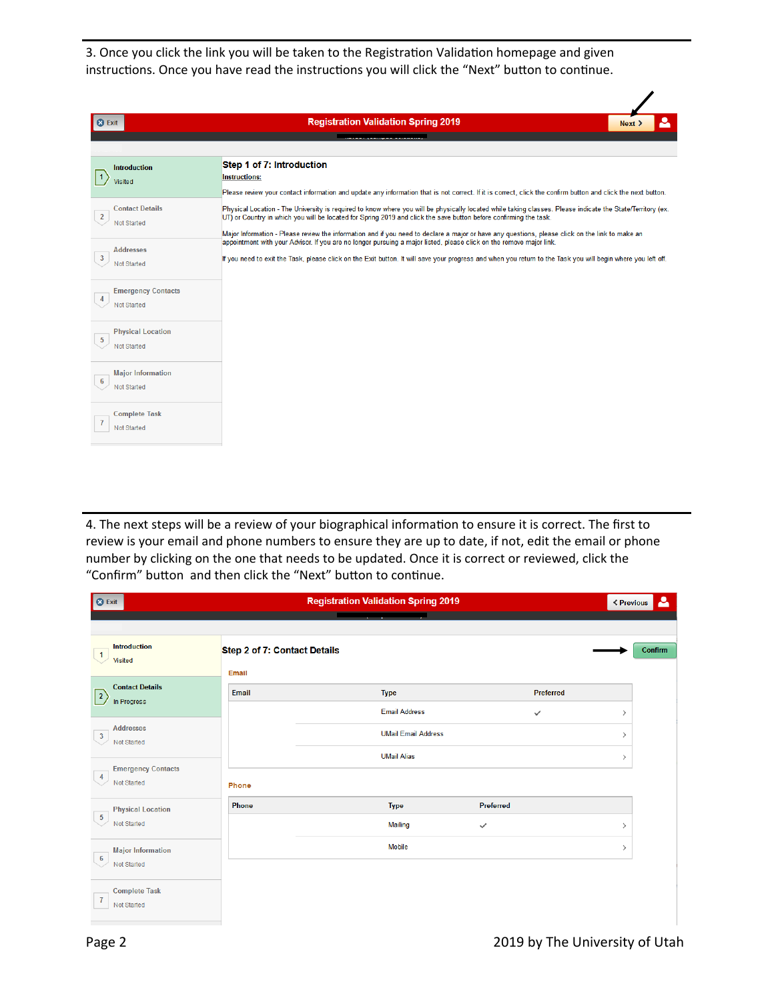3. Once you click the link you will be taken to the Registration Validation homepage and given instructions. Once you have read the instructions you will click the "Next" button to continue.

| <b>8</b> Exit                                                  | <b>Registration Validation Spring 2019</b>                                                                                                                                                                                                                                                                                                                                                                                         | Next > |
|----------------------------------------------------------------|------------------------------------------------------------------------------------------------------------------------------------------------------------------------------------------------------------------------------------------------------------------------------------------------------------------------------------------------------------------------------------------------------------------------------------|--------|
|                                                                |                                                                                                                                                                                                                                                                                                                                                                                                                                    |        |
|                                                                |                                                                                                                                                                                                                                                                                                                                                                                                                                    |        |
| <b>Introduction</b><br>  1<br>Visited                          | Step 1 of 7: Introduction<br><b>Instructions:</b><br>Please review your contact information and update any information that is not correct. If it is correct, click the confirm button and click the next button.                                                                                                                                                                                                                  |        |
| <b>Contact Details</b><br>$\overline{2}$<br><b>Not Started</b> | Physical Location - The University is required to know where you will be physically located while taking classes. Please indicate the State/Territory (ex.<br>UT) or Country in which you will be located for Spring 2019 and click the save button before confirming the task.<br>Major Information - Please review the information and if you need to declare a major or have any questions, please click on the link to make an |        |
| <b>Addresses</b><br>$\overline{3}$<br>Not Started              | appointment with your Advisor. If you are no longer pursuing a major listed, please click on the remove major link.<br>If you need to exit the Task, please click on the Exit button. It will save your progress and when you return to the Task you will begin where you left off.                                                                                                                                                |        |
| <b>Emergency Contacts</b><br>4<br><b>Not Started</b>           |                                                                                                                                                                                                                                                                                                                                                                                                                                    |        |
| <b>Physical Location</b><br>5<br>Not Started                   |                                                                                                                                                                                                                                                                                                                                                                                                                                    |        |
| <b>Major Information</b><br>$6\phantom{1}6$<br>Not Started     |                                                                                                                                                                                                                                                                                                                                                                                                                                    |        |
| <b>Complete Task</b><br>Not Started                            |                                                                                                                                                                                                                                                                                                                                                                                                                                    |        |

4. The next steps will be a review of your biographical information to ensure it is correct. The first to review is your email and phone numbers to ensure they are up to date, if not, edit the email or phone number by clicking on the one that needs to be updated. Once it is correct or reviewed, click the "Confirm" button and then click the "Next" button to continue.

| <b>O</b> Exit                                                 |                                       | <b>Registration Validation Spring 2019</b>         |              | ▵<br><b>&lt; Previous</b>      |
|---------------------------------------------------------------|---------------------------------------|----------------------------------------------------|--------------|--------------------------------|
| <b>Introduction</b><br>$\overline{1}$<br><b>Visited</b>       | Step 2 of 7: Contact Details<br>Email |                                                    |              | Confirm                        |
| <b>Contact Details</b><br>$\vert$ <sup>2</sup><br>In Progress | Email                                 | <b>Type</b>                                        | Preferred    |                                |
| <b>Addresses</b><br>$\overline{3}$<br>Not Started             |                                       | <b>Email Address</b><br><b>UMail Email Address</b> | $\checkmark$ | $\rightarrow$<br>$\rightarrow$ |
| <b>Emergency Contacts</b><br>$\overline{4}$<br>Not Started    | Phone                                 | <b>UMail Alias</b>                                 |              | $\rightarrow$                  |
| <b>Physical Location</b><br>$\sqrt{5}$                        | <b>Phone</b>                          | <b>Type</b>                                        | Preferred    |                                |
| Not Started                                                   |                                       | Mailing                                            | $\checkmark$ | $\rightarrow$                  |
| <b>Major Information</b><br>6<br>Not Started                  |                                       | <b>Mobile</b>                                      |              | $\rightarrow$                  |
| <b>Complete Task</b><br>$\mathbf{7}$<br>Not Started           |                                       |                                                    |              |                                |

 $\overline{\mathscr{S}}$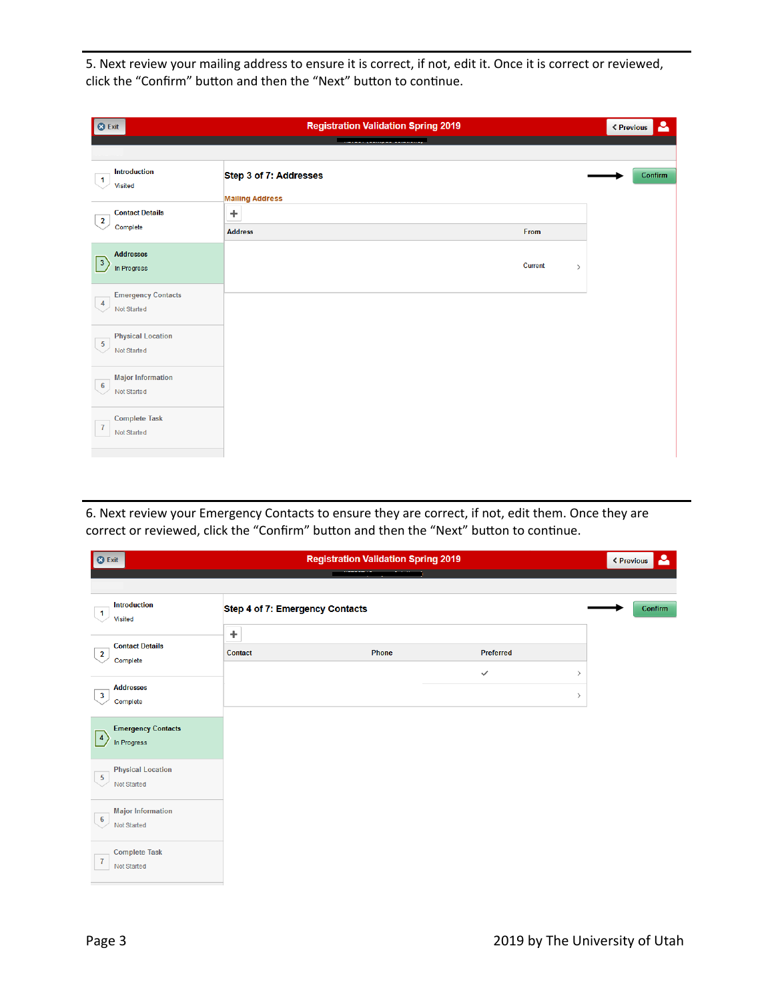5. Next review your mailing address to ensure it is correct, if not, edit it. Once it is correct or reviewed, click the "Confirm" button and then the "Next" button to continue.

| <b>8</b> Exit                                              | <b>Registration Validation Spring 2019</b> |         |      | <b>&lt; Previous</b> | Δ       |
|------------------------------------------------------------|--------------------------------------------|---------|------|----------------------|---------|
|                                                            |                                            |         |      |                      |         |
| <b>Introduction</b><br>$\overline{1}$<br>Visited           | Step 3 of 7: Addresses                     |         |      |                      | Confirm |
| <b>Contact Details</b>                                     | <b>Mailing Address</b><br>÷                |         |      |                      |         |
| $\overline{2}$<br>Complete                                 | <b>Address</b>                             | From    |      |                      |         |
| <b>Addresses</b><br>$\sqrt{3}$<br>In Progress              |                                            | Current | $\,$ |                      |         |
| <b>Emergency Contacts</b><br>4<br>Not Started              |                                            |         |      |                      |         |
| <b>Physical Location</b><br>$\overline{5}$<br>Not Started  |                                            |         |      |                      |         |
| <b>Major Information</b><br>$6\phantom{1}6$<br>Not Started |                                            |         |      |                      |         |
| <b>Complete Task</b><br>$\overline{I}$<br>Not Started      |                                            |         |      |                      |         |

6. Next review your Emergency Contacts to ensure they are correct, if not, edit them. Once they are correct or reviewed, click the "Confirm" button and then the "Next" button to continue.

| <b>8</b> Exit                                               |                                 | <b>Registration Validation Spring 2019</b> |              |         | ▵<br><b>≮ Previous</b> |
|-------------------------------------------------------------|---------------------------------|--------------------------------------------|--------------|---------|------------------------|
|                                                             |                                 |                                            |              |         |                        |
| Introduction<br>$\mathbf{1}$<br><b>Visited</b>              | Step 4 of 7: Emergency Contacts |                                            |              |         | Confirm                |
| <b>Contact Details</b><br>$\overline{2}$<br>Complete        | ÷<br><b>Contact</b>             | Phone                                      | Preferred    |         |                        |
|                                                             |                                 |                                            | $\checkmark$ | $\,>\,$ |                        |
| <b>Addresses</b><br>$\mathbf{3}$<br>Complete                |                                 |                                            |              | $\,$    |                        |
| <b>Emergency Contacts</b><br>$\vert 4 \vert$<br>In Progress |                                 |                                            |              |         |                        |
| <b>Physical Location</b><br>$\sqrt{5}$<br>Not Started       |                                 |                                            |              |         |                        |
| <b>Major Information</b><br>$6\phantom{.}6$<br>Not Started  |                                 |                                            |              |         |                        |
| <b>Complete Task</b><br>7<br>Not Started                    |                                 |                                            |              |         |                        |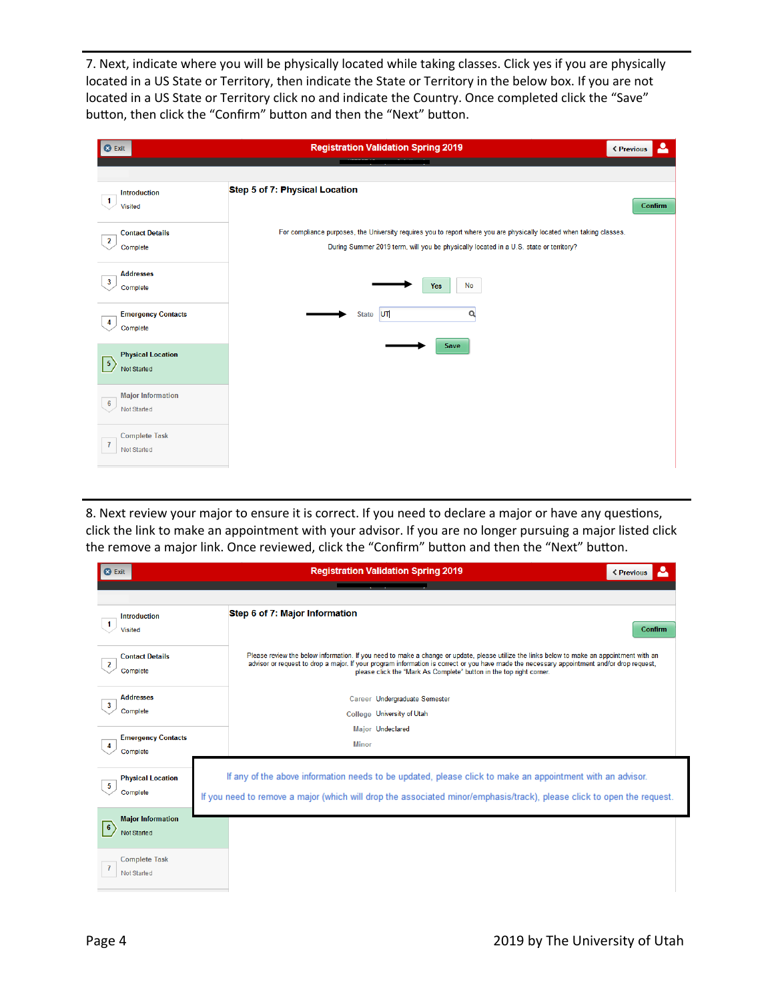7. Next, indicate where you will be physically located while taking classes. Click yes if you are physically located in a US State or Territory, then indicate the State or Territory in the below box. If you are not located in a US State or Territory click no and indicate the Country. Once completed click the "Save" button, then click the "Confirm" button and then the "Next" button.

| <b>3</b> Exit                                               | <b>Registration Validation Spring 2019</b>                                                                                                                                                                    | Δ<br><b>&lt; Previous</b> |
|-------------------------------------------------------------|---------------------------------------------------------------------------------------------------------------------------------------------------------------------------------------------------------------|---------------------------|
|                                                             |                                                                                                                                                                                                               |                           |
| <b>Introduction</b><br>$\mathbf{1}$<br>Visited              | Step 5 of 7: Physical Location                                                                                                                                                                                | Confirm                   |
| <b>Contact Details</b><br>$\overline{2}$<br>Complete        | For compliance purposes, the University requires you to report where you are physically located when taking classes.<br>During Summer 2019 term, will you be physically located in a U.S. state or territory? |                           |
| <b>Addresses</b><br>$\mathbf{3}$<br>Complete                | No<br><b>Yes</b>                                                                                                                                                                                              |                           |
| <b>Emergency Contacts</b><br>4<br>Complete                  | State UT<br>Q                                                                                                                                                                                                 |                           |
| <b>Physical Location</b><br>$\boxed{5}$<br>Not Started      | Save                                                                                                                                                                                                          |                           |
| <b>Major Information</b><br>$\boldsymbol{6}$<br>Not Started |                                                                                                                                                                                                               |                           |
| <b>Complete Task</b><br>$\overline{1}$<br>Not Started       |                                                                                                                                                                                                               |                           |

8. Next review your major to ensure it is correct. If you need to declare a major or have any questions, click the link to make an appointment with your advisor. If you are no longer pursuing a major listed click the remove a major link. Once reviewed, click the "Confirm" button and then the "Next" button.

| <b>C</b> Exit                                           | <b>Registration Validation Spring 2019</b><br>< Previous                                                                                                                                                                                                                                                                                                        |  |
|---------------------------------------------------------|-----------------------------------------------------------------------------------------------------------------------------------------------------------------------------------------------------------------------------------------------------------------------------------------------------------------------------------------------------------------|--|
|                                                         |                                                                                                                                                                                                                                                                                                                                                                 |  |
| <b>Introduction</b><br>$\mathbf{1}$<br><b>Visited</b>   | Step 6 of 7: Major Information<br>Confirm                                                                                                                                                                                                                                                                                                                       |  |
| <b>Contact Details</b><br>$\overline{2}$<br>Complete    | Please review the below information. If you need to make a change or update, please utilize the links below to make an appointment with an<br>advisor or request to drop a major. If your program information is correct or you have made the necessary appointment and/or drop request,<br>please click the "Mark As Complete" button in the top right corner. |  |
| <b>Addresses</b><br>$\overline{\mathbf{3}}$<br>Complete | Career Undergraduate Semester<br>College University of Utah                                                                                                                                                                                                                                                                                                     |  |
| <b>Emergency Contacts</b><br>4<br>Complete              | <b>Major Undeclared</b><br><b>Minor</b>                                                                                                                                                                                                                                                                                                                         |  |
| <b>Physical Location</b><br>-5<br>Complete              | If any of the above information needs to be updated, please click to make an appointment with an advisor.<br>If you need to remove a major (which will drop the associated minor/emphasis/track), please click to open the request.                                                                                                                             |  |
| <b>Major Information</b><br>$ 6\rangle$<br>Not Started  |                                                                                                                                                                                                                                                                                                                                                                 |  |
| <b>Complete Task</b><br>7<br>Not Started                |                                                                                                                                                                                                                                                                                                                                                                 |  |